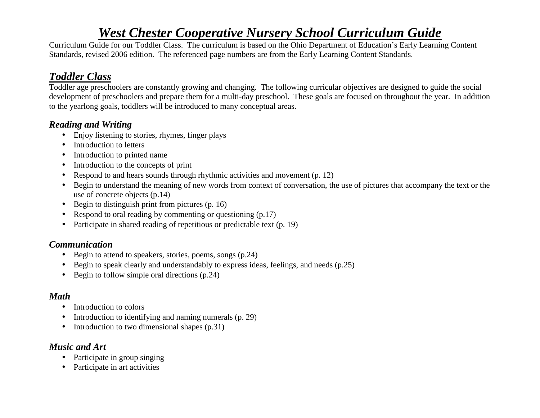# *West Chester Cooperative Nursery School Curriculum Guide*

 Curriculum Guide for our Toddler Class. The curriculum is based on the Ohio Department of Education's Early Learning Content Standards, revised 2006 edition. The referenced page numbers are from the Early Learning Content Standards.

## *Toddler Class*

 Toddler age preschoolers are constantly growing and changing. The following curricular objectives are designed to guide the social development of preschoolers and prepare them for a multi-day preschool. These goals are focused on throughout the year. In addition to the yearlong goals, toddlers will be introduced to many conceptual areas.

### *Reading and Writing*

- Enjoy listening to stories, rhymes, finger plays
- Introduction to letters
- $\bullet$ Introduction to printed name
- •Introduction to the concepts of print
- $\bullet$ Respond to and hears sounds through rhythmic activities and movement (p. 12)
- Begin to understand the meaning of new words from context of conversation, the use of pictures that accompany the text or the use of concrete objects (p.14)
- •Begin to distinguish print from pictures (p. 16)
- •Respond to oral reading by commenting or questioning (p.17)
- $\bullet$ Participate in shared reading of repetitious or predictable text (p. 19)

## *Communication*

- Begin to attend to speakers, stories, poems, songs (p.24)
- $\bullet$ Begin to speak clearly and understandably to express ideas, feelings, and needs (p.25)
- Begin to follow simple oral directions (p.24)

## *Math*

- Introduction to colors
- •Introduction to identifying and naming numerals (p. 29)
- •Introduction to two dimensional shapes (p.31)

#### *Music and Art*

- Participate in group singing
- Participate in art activities